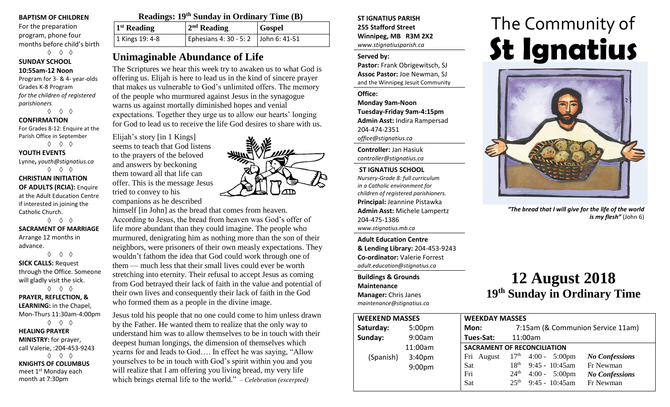#### **BAPTISM OF CHILDREN**

For the preparation program, phone four months before child's birth ◊ ◊ ◊

**SUNDAY SCHOOL 10:55am-12 Noon**

Program for 3- & 4- year-olds Grades K-8 Program *for the children of registered parishioners*

◊ ◊ ◊

## **CONFIRMATION**

For Grades 8-12: Enquire at the Parish Office in September ◊ ◊ ◊

**YOUTH EVENTS**

Lynne**,** *youth@stignatius.ca* ◊ ◊ ◊

**CHRISTIAN INITIATION OF ADULTS (RCIA):** Enquire at the Adult Education Centre if interested in joining the Catholic Church.

◊ ◊ ◊ **SACRAMENT OF MARRIAGE** Arrange 12 months in advance.

◊ ◊ ◊ **SICK CALLS:** Request through the Office. Someone will gladly visit the sick. ◊ ◊ ◊

**PRAYER, REFLECTION, & LEARNING:** in the Chapel, Mon-Thurs 11:30am-4:00pm ◊ ◊ ◊ **HEALING PRAYER** 

**MINISTRY:** for prayer, call Valerie, :204-453-9243 ◊ ◊ ◊ **KNIGHTS OF COLUMBUS** meet 1st Monday each month at 7:30pm

| Readings: 19 <sup>th</sup> Sunday in Ordinary Time (B) |                                              |               |  |  |
|--------------------------------------------------------|----------------------------------------------|---------------|--|--|
| $1st$ Reading                                          | $2nd$ Reading                                | <b>Gospel</b> |  |  |
| 1 Kings 19: 4-8                                        | Ephesians 4: 30 - 5: 2 $\vert$ John 6: 41-51 |               |  |  |

# **Unimaginable Abundance of Life**

The Scriptures we hear this week try to awaken us to what God is offering us. Elijah is here to lead us in the kind of sincere prayer that makes us vulnerable to God's unlimited offers. The memory of the people who murmured against Jesus in the synagogue warns us against mortally diminished hopes and venial expectations. Together they urge us to allow our hearts' longing for God to lead us to receive the life God desires to share with us.

Elijah's story [in 1 Kings] seems to teach that God listens to the prayers of the beloved and answers by beckoning them toward all that life can offer. This is the message Jesus tried to convey to his

companions as he described himself [in John] as the bread that comes from heaven.

According to Jesus, the bread from heaven was God's offer of life more abundant than they could imagine. The people who murmured, denigrating him as nothing more than the son of their neighbors, were prisoners of their own measly expectations. They wouldn't fathom the idea that God could work through one of them — much less that their small lives could ever be worth stretching into eternity. Their refusal to accept Jesus as coming from God betrayed their lack of faith in the value and potential of their own lives and consequently their lack of faith in the God who formed them as a people in the divine image.

Jesus told his people that no one could come to him unless drawn by the Father. He wanted them to realize that the only way to understand him was to allow themselves to be in touch with their deepest human longings, the dimension of themselves which yearns for and leads to God…. In effect he was saying, "Allow yourselves to be in touch with God's spirit within you and you will realize that I am offering you living bread, my very life which brings eternal life to the world." – *Celebration (excerpted)* 



**ST IGNATIUS PARISH 255 Stafford Street Winnipeg, MB R3M 2X2** *www.stignatiusparish.ca*

## **Served by:**

**Pastor:** Frank Obrigewitsch, SJ **Assoc Pastor:** Joe Newman, SJ and the Winnipeg Jesuit Community

**Office:**

**Monday 9am-Noon Tuesday-Friday 9am-4:15pm Admin Asst:** Indira Rampersad 204-474-2351 *office@stignatius.ca*

**Controller:** Jan Hasiuk *controller@stignatius.ca*

## **ST IGNATIUS SCHOOL** *Nursery-Grade 8: full curriculum in a Catholic environment for children of registered parishioners.* **Principal:** Jeannine Pistawka **Admin Asst:** Michele Lampertz 204-475-1386 *www.stignatius.mb.ca*

**Adult Education Centre & Lending Library:** 204-453-9243 **Co-ordinator:** Valerie Forrest *adult.education@stignatius.ca*

**Buildings & Grounds Maintenance**

**Manager:** Chris Janes *maintenance@stignatius.ca*

# The Community of **St Ignatius**



*"The bread that I will give for the life of the world is my flesh"* (John 6)

# **12 August 2018 19 th Sunday in Ordinary Time**

| <b>WEEKEND MASSES</b> |                    | <b>WEEKDAY MASSES</b> |                                                                      |
|-----------------------|--------------------|-----------------------|----------------------------------------------------------------------|
|                       |                    |                       |                                                                      |
| Saturday:             | 5:00 <sub>pm</sub> | Mon:                  | 7:15am (& Communion Service 11am)                                    |
| Sunday:               | 9:00am             | Tues-Sat:             | 11:00am                                                              |
|                       | 11:00am            |                       | SACRAMENT OF RECONCILIATION                                          |
| (Spanish)             | 3:40 <sub>pm</sub> | Fri August            | $17th$ 4:00 - 5:00pm<br><b>No Confessions</b>                        |
|                       | 9:00 <sub>pm</sub> | <b>Sat</b>            | $9:45 - 10:45$ am<br>$18^{th}$<br>Fr Newman                          |
|                       |                    | Fri                   | $24^{\text{th}}$<br>$4:00 - 5:00 \text{pm}$<br><b>No Confessions</b> |
|                       |                    | <b>Sat</b>            | $9:45 - 10:45$ am<br>25 <sup>th</sup><br>Fr Newman                   |
|                       |                    |                       |                                                                      |